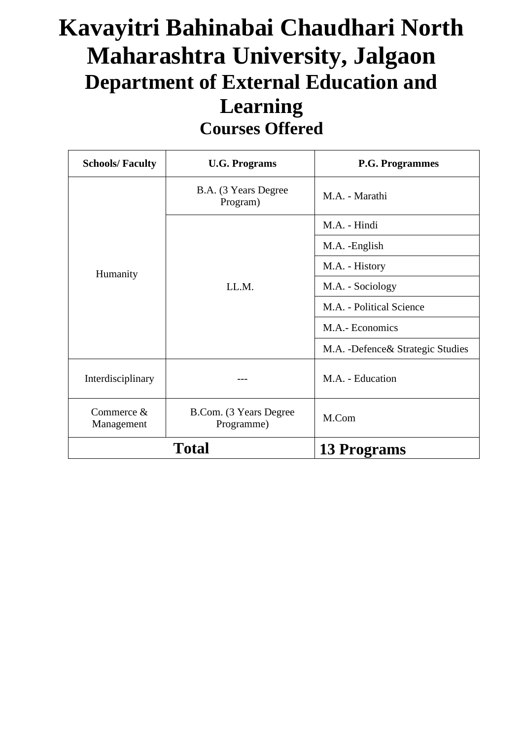## **Kavayitri Bahinabai Chaudhari North Maharashtra University, Jalgaon Department of External Education and Learning Courses Offered**

| <b>Schools/Faculty</b>     | <b>U.G. Programs</b>                  | <b>P.G. Programmes</b>             |  |  |  |  |  |
|----------------------------|---------------------------------------|------------------------------------|--|--|--|--|--|
|                            | B.A. (3 Years Degree<br>Program)      | M.A. - Marathi                     |  |  |  |  |  |
|                            |                                       | M.A. - Hindi                       |  |  |  |  |  |
|                            |                                       | M.A. -English                      |  |  |  |  |  |
| Humanity                   |                                       | M.A. - History                     |  |  |  |  |  |
|                            | LL.M.                                 | M.A. - Sociology                   |  |  |  |  |  |
|                            |                                       | M.A. - Political Science           |  |  |  |  |  |
|                            | M.A.- Economics                       |                                    |  |  |  |  |  |
|                            |                                       | M.A. - Defence & Strategic Studies |  |  |  |  |  |
| Interdisciplinary          |                                       | M.A. - Education                   |  |  |  |  |  |
| Commerce $&$<br>Management | B.Com. (3 Years Degree)<br>Programme) | M.Com                              |  |  |  |  |  |
|                            | <b>Total</b>                          | 13 Programs                        |  |  |  |  |  |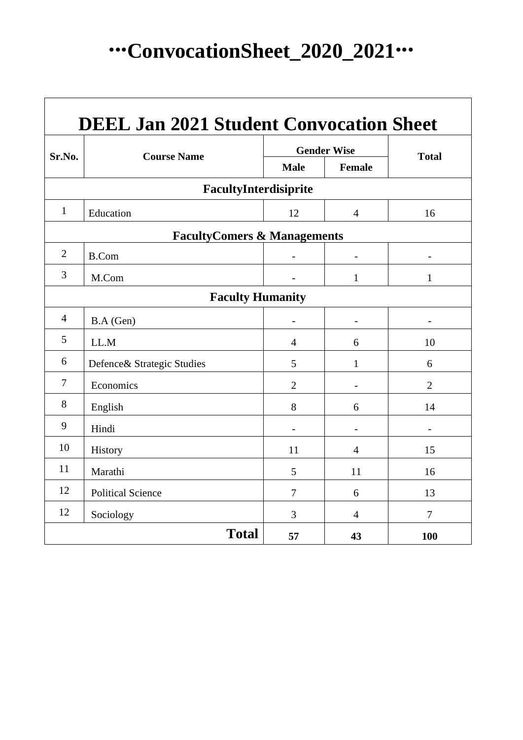# **∙∙∙ConvocationSheet\_2020\_2021∙∙∙**

| <b>DEEL Jan 2021 Student Convocation Sheet</b> |                            |                          |                   |                          |  |  |  |  |  |  |  |  |
|------------------------------------------------|----------------------------|--------------------------|-------------------|--------------------------|--|--|--|--|--|--|--|--|
| Sr.No.                                         | <b>Course Name</b>         | <b>Gender Wise</b>       | <b>Total</b>      |                          |  |  |  |  |  |  |  |  |
|                                                |                            | <b>Male</b>              | <b>Female</b>     |                          |  |  |  |  |  |  |  |  |
|                                                | FacultyInterdisiprite      |                          |                   |                          |  |  |  |  |  |  |  |  |
| $\mathbf{1}$                                   | Education                  | 12                       | $\overline{4}$    | 16                       |  |  |  |  |  |  |  |  |
| <b>FacultyComers &amp; Managements</b>         |                            |                          |                   |                          |  |  |  |  |  |  |  |  |
| $\overline{2}$                                 | <b>B.Com</b>               | $\overline{\phantom{0}}$ | $\qquad \qquad -$ | $\overline{\phantom{a}}$ |  |  |  |  |  |  |  |  |
| 3                                              | M.Com                      |                          | $\mathbf{1}$      | $\mathbf{1}$             |  |  |  |  |  |  |  |  |
| <b>Faculty Humanity</b>                        |                            |                          |                   |                          |  |  |  |  |  |  |  |  |
| $\overline{4}$                                 | B.A (Gen)                  |                          |                   |                          |  |  |  |  |  |  |  |  |
| 5                                              | LL.M                       | $\overline{4}$           | 6                 | 10                       |  |  |  |  |  |  |  |  |
| 6                                              | Defence& Strategic Studies | 5                        | $\mathbf{1}$      | 6                        |  |  |  |  |  |  |  |  |
| $\overline{7}$                                 | Economics                  | $\overline{2}$           |                   | $\overline{2}$           |  |  |  |  |  |  |  |  |
| 8                                              | English                    | 8                        | 6                 | 14                       |  |  |  |  |  |  |  |  |
| 9                                              | Hindi                      |                          |                   |                          |  |  |  |  |  |  |  |  |
| 10                                             | History                    | 11                       | $\overline{4}$    | 15                       |  |  |  |  |  |  |  |  |
| 11                                             | Marathi                    | 5                        | 11                | 16                       |  |  |  |  |  |  |  |  |
| 12                                             | <b>Political Science</b>   | 7                        | 6                 | 13                       |  |  |  |  |  |  |  |  |
| 12                                             | Sociology                  | 3                        | $\overline{4}$    | 7                        |  |  |  |  |  |  |  |  |
|                                                | <b>Total</b>               | 57                       | 43                | <b>100</b>               |  |  |  |  |  |  |  |  |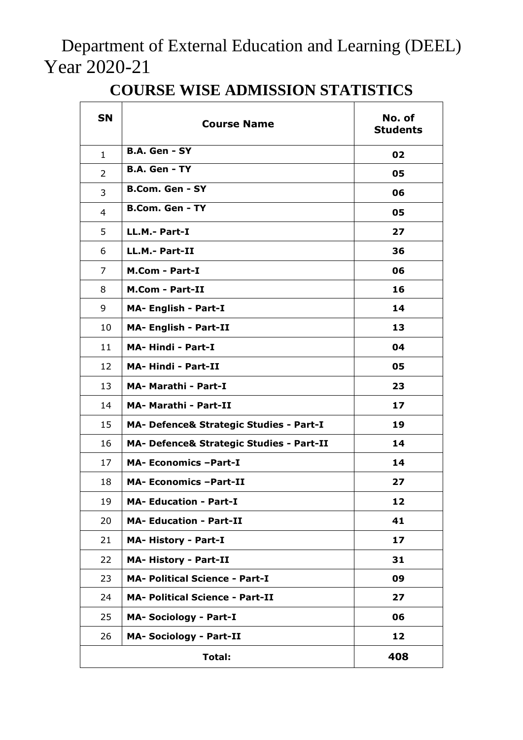Department of External Education and Learning (DEEL) Year 2020-21

| <b>SN</b>    | <b>Course Name</b>                       | No. of<br><b>Students</b> |  |  |  |  |  |  |  |
|--------------|------------------------------------------|---------------------------|--|--|--|--|--|--|--|
| $\mathbf{1}$ | B.A. Gen - SY                            | 02                        |  |  |  |  |  |  |  |
| 2            | <b>B.A. Gen - TY</b>                     | 05                        |  |  |  |  |  |  |  |
| 3            | <b>B.Com. Gen - SY</b>                   | 06                        |  |  |  |  |  |  |  |
| 4            | <b>B.Com. Gen - TY</b>                   | 05                        |  |  |  |  |  |  |  |
| 5            | LL.M.- Part-I                            | 27                        |  |  |  |  |  |  |  |
| 6            | LL.M.- Part-II                           | 36                        |  |  |  |  |  |  |  |
| 7            | <b>M.Com - Part-I</b>                    | 06                        |  |  |  |  |  |  |  |
| 8            | <b>M.Com - Part-II</b>                   | 16                        |  |  |  |  |  |  |  |
| 9            | <b>MA- English - Part-I</b>              | 14                        |  |  |  |  |  |  |  |
| 10           | <b>MA- English - Part-II</b>             | 13                        |  |  |  |  |  |  |  |
| 11           | <b>MA-Hindi - Part-I</b>                 | 04                        |  |  |  |  |  |  |  |
| 12           | <b>MA-Hindi - Part-II</b>                | 05                        |  |  |  |  |  |  |  |
| 13           | MA- Marathi - Part-I                     | 23                        |  |  |  |  |  |  |  |
| 14           | MA- Marathi - Part-II                    | 17                        |  |  |  |  |  |  |  |
| 15           | MA- Defence& Strategic Studies - Part-I  | 19                        |  |  |  |  |  |  |  |
| 16           | MA- Defence& Strategic Studies - Part-II | 14                        |  |  |  |  |  |  |  |
| 17           | <b>MA- Economics -Part-I</b>             | 14                        |  |  |  |  |  |  |  |
| 18           | <b>MA- Economics -Part-II</b>            | 27                        |  |  |  |  |  |  |  |
| 19           | <b>MA- Education - Part-I</b>            | 12                        |  |  |  |  |  |  |  |
| 20           | <b>MA- Education - Part-II</b>           | 41                        |  |  |  |  |  |  |  |
| 21           | <b>MA- History - Part-I</b>              | 17                        |  |  |  |  |  |  |  |
| 22           | <b>MA- History - Part-II</b>             | 31                        |  |  |  |  |  |  |  |
| 23           | <b>MA- Political Science - Part-I</b>    | 09                        |  |  |  |  |  |  |  |
| 24           | <b>MA- Political Science - Part-II</b>   | 27                        |  |  |  |  |  |  |  |
| 25           | <b>MA- Sociology - Part-I</b>            | 06                        |  |  |  |  |  |  |  |
| 26           | <b>MA- Sociology - Part-II</b>           | 12                        |  |  |  |  |  |  |  |
|              | Total:                                   | 408                       |  |  |  |  |  |  |  |

### **COURSE WISE ADMISSION STATISTICS**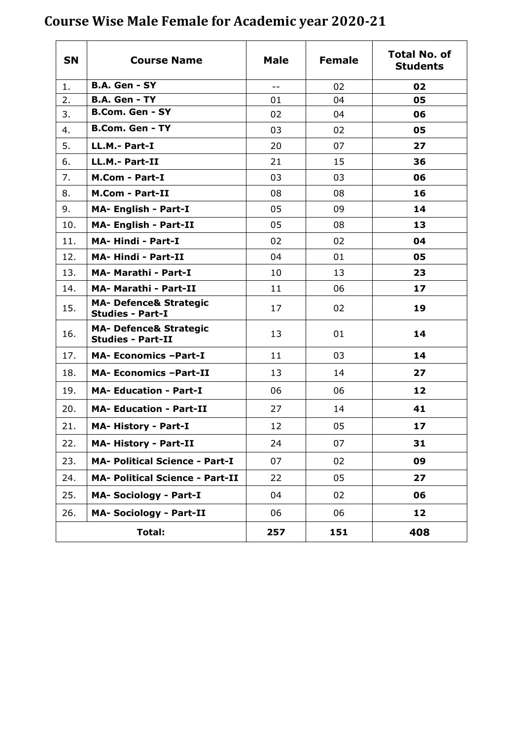| <b>SN</b> | <b>Course Name</b>                                            | <b>Male</b> | <b>Female</b> | <b>Total No. of</b><br><b>Students</b> |
|-----------|---------------------------------------------------------------|-------------|---------------|----------------------------------------|
| 1.        | <b>B.A. Gen - SY</b>                                          | $- -$       | 02            | 02                                     |
| 2.        | <b>B.A. Gen - TY</b>                                          | 01          | 04            | 05                                     |
| 3.        | <b>B.Com. Gen - SY</b>                                        | 02          | 04            | 06                                     |
| 4.        | <b>B.Com. Gen - TY</b>                                        | 03          | 02            | 05                                     |
| 5.        | LL.M.- Part-I                                                 | 20          | 07            | 27                                     |
| 6.        | LL.M.- Part-II                                                | 21          | 15            | 36                                     |
| 7.        | <b>M.Com - Part-I</b>                                         | 03          | 03            | 06                                     |
| 8.        | <b>M.Com - Part-II</b>                                        | 08          | 08            | 16                                     |
| 9.        | <b>MA- English - Part-I</b>                                   | 05          | 09            | 14                                     |
| 10.       | <b>MA- English - Part-II</b>                                  | 05          | 08            | 13                                     |
| 11.       | <b>MA-Hindi - Part-I</b>                                      | 02          | 02            | 04                                     |
| 12.       | <b>MA-Hindi - Part-II</b>                                     | 04          | 01            | 05                                     |
| 13.       | <b>MA- Marathi - Part-I</b>                                   | 10          | 13            | 23                                     |
| 14.       | <b>MA- Marathi - Part-II</b>                                  | 11          | 06            | 17                                     |
| 15.       | <b>MA- Defence&amp; Strategic</b><br><b>Studies - Part-I</b>  | 17          | 02            | 19                                     |
| 16.       | <b>MA- Defence&amp; Strategic</b><br><b>Studies - Part-II</b> | 13          | 01            | 14                                     |
| 17.       | <b>MA- Economics -Part-I</b>                                  | 11          | 03            | 14                                     |
| 18.       | <b>MA- Economics -Part-II</b>                                 | 13          | 14            | 27                                     |
| 19.       | <b>MA- Education - Part-I</b>                                 | 06          | 06            | 12                                     |
| 20.       | <b>MA- Education - Part-II</b>                                | 27          | 14            | 41                                     |
| 21.       | <b>MA-History - Part-I</b>                                    | 12          | 05            | 17                                     |
| 22.       | <b>MA-History - Part-II</b>                                   | 24          | 07            | 31                                     |
| 23.       | <b>MA- Political Science - Part-I</b>                         | 07          | 02            | 09                                     |
| 24.       | <b>MA- Political Science - Part-II</b>                        | 22          | 05            | 27                                     |
| 25.       | <b>MA- Sociology - Part-I</b>                                 | 04          | 02            | 06                                     |
| 26.       | <b>MA- Sociology - Part-II</b>                                | 06          | 06            | 12                                     |
|           | Total:                                                        | 257         | 151           | 408                                    |

### **Course Wise Male Female for Academic year 2020-21**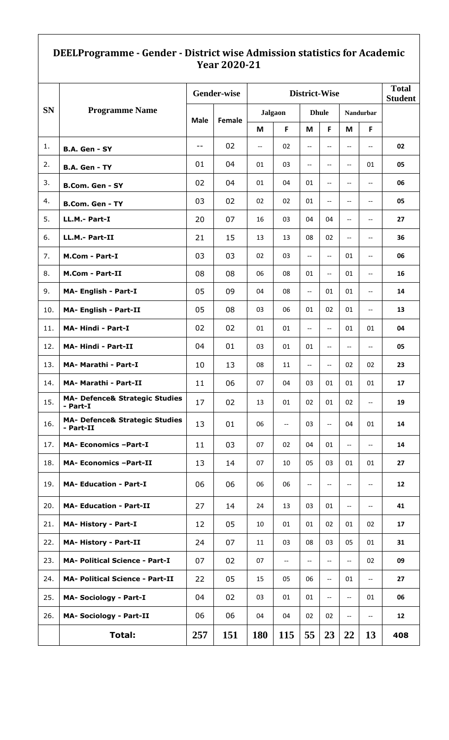#### **DEELProgramme - Gender - District wise Admission statistics for Academic Year 2020-21**

|           |                                                        |             | <b>Gender-wise</b> |                          | <b>Total</b><br><b>Student</b> |                          |                          |                          |                                                     |     |
|-----------|--------------------------------------------------------|-------------|--------------------|--------------------------|--------------------------------|--------------------------|--------------------------|--------------------------|-----------------------------------------------------|-----|
| <b>SN</b> | <b>Programme Name</b>                                  | <b>Male</b> | Female             |                          | <b>Jalgaon</b>                 |                          | <b>Dhule</b>             |                          | Nandurbar                                           |     |
|           |                                                        |             |                    | M                        | F                              | M                        | F                        | M                        | F                                                   |     |
| 1.        | B.A. Gen - SY                                          | $- -$       | 02                 | $\overline{\phantom{a}}$ | 02                             | $\overline{\phantom{m}}$ | $\overline{\phantom{a}}$ | $\overline{\phantom{a}}$ | $\overline{\phantom{a}}$                            | 02  |
| 2.        | B.A. Gen - TY                                          | 01          | 04<br>01<br>03     |                          |                                | $\overline{\phantom{a}}$ | $\overline{\phantom{a}}$ | $\overline{\phantom{a}}$ | 01                                                  | 05  |
| 3.        | <b>B.Com. Gen - SY</b>                                 | 02          | 04                 | 01                       | 04                             | 01                       | $-$                      | $-$                      | $\overline{\phantom{m}}$                            | 06  |
| 4.        | <b>B.Com. Gen - TY</b>                                 | 03          | 02                 | 02                       | 02                             | 01                       | $\overline{\phantom{a}}$ | $-$                      | $\overline{\phantom{a}}$                            | 05  |
| 5.        | LL.M.- Part-I                                          | 20          | 07                 | 16                       | 03                             | 04                       | 04                       | --                       | $\overline{\phantom{a}}$                            | 27  |
| 6.        | LL.M.- Part-II                                         | 21          | 15                 | 13                       | 13                             | 08                       | 02                       | $\overline{\phantom{a}}$ | $\hspace{0.05cm} -\hspace{0.05cm} -\hspace{0.05cm}$ | 36  |
| 7.        | <b>M.Com - Part-I</b>                                  | 03          | 03                 | 02                       | 03                             | $\overline{\phantom{m}}$ | $\overline{\phantom{a}}$ | 01                       | $\overline{\phantom{m}}$                            | 06  |
| 8.        | <b>M.Com - Part-II</b>                                 | 08          | 08                 | 06                       | 08                             | 01                       | $\overline{\phantom{a}}$ | 01                       | $\overline{\phantom{m}}$                            | 16  |
| 9.        | <b>MA- English - Part-I</b>                            | 05          | 09                 | 04                       | 08                             | $\overline{\phantom{a}}$ | 01                       | 01                       | $\overline{\phantom{a}}$                            | 14  |
| 10.       | <b>MA- English - Part-II</b>                           | 05          | 08                 | 03                       | 06                             | 01                       | 02                       | 01                       | $\overline{\phantom{m}}$                            | 13  |
| 11.       | MA-Hindi - Part-I                                      | 02          | 02                 | 01                       | 01                             | $\overline{\phantom{m}}$ | $\overline{\phantom{a}}$ | 01                       | 01                                                  | 04  |
| 12.       | <b>MA-Hindi - Part-II</b>                              | 04          | 01                 | 03                       | 01                             | 01                       | $\overline{\phantom{a}}$ | $\overline{\phantom{m}}$ | $\overline{\phantom{a}}$                            | 05  |
| 13.       | MA- Marathi - Part-I                                   | 10          | 13                 | 08                       | 11                             | $\overline{\phantom{a}}$ | $\overline{\phantom{a}}$ | 02                       | 02                                                  | 23  |
| 14.       | MA- Marathi - Part-II                                  | 11          | 06                 | 07                       | 04                             | 03                       | 01                       | 01                       | 01                                                  | 17  |
| 15.       | <b>MA- Defence&amp; Strategic Studies</b><br>- Part-I  | 17          | 02                 | 13                       | 01                             | 02                       | 01                       | 02                       | $\overline{\phantom{a}}$                            | 19  |
| 16.       | <b>MA- Defence&amp; Strategic Studies</b><br>- Part-II | 13          | 01                 | 06                       | $\hspace{0.05cm} \textbf{--}$  | 03                       | $\overline{\phantom{a}}$ | 04                       | 01                                                  | 14  |
| 17.       | <b>MA- Economics -Part-I</b>                           | 11          | 03                 | 07                       | 02                             | 04                       | 01                       | $\overline{\phantom{a}}$ | $\overline{\phantom{a}}$                            | 14  |
| 18.       | <b>MA- Economics -Part-II</b>                          | 13          | 14                 | 07                       | 10                             | 05                       | 03                       | 01                       | 01                                                  | 27  |
| 19.       | <b>MA- Education - Part-I</b>                          | 06          | 06                 | 06                       | 06                             | $\overline{\phantom{m}}$ | $\overline{\phantom{a}}$ | $\overline{\phantom{m}}$ | $\hspace{0.05cm} -\hspace{0.05cm} -\hspace{0.05cm}$ | 12  |
| 20.       | <b>MA- Education - Part-II</b>                         | 27          | 14                 | 24                       | 13                             | 03                       | 01                       | $-$                      | $\overline{\phantom{a}}$                            | 41  |
| 21.       | <b>MA-History - Part-I</b>                             | 12          | 05                 | 10                       | 01                             | 01                       | 02                       | 01                       | 02                                                  | 17  |
| 22.       | <b>MA- History - Part-II</b>                           | 24          | 07                 | 11                       | 03                             | 08                       | 03                       | 05                       | 01                                                  | 31  |
| 23.       | <b>MA- Political Science - Part-I</b>                  | 07          | 02                 | 07                       | $\hspace{0.05cm} \ldots$       | $\overline{\phantom{a}}$ | $\overline{\phantom{a}}$ | $\overline{\phantom{a}}$ | 02                                                  | 09  |
| 24.       | <b>MA- Political Science - Part-II</b>                 | 22          | 05                 | 15                       | 05                             | 06                       | $\overline{\phantom{a}}$ | 01                       | $\overline{\phantom{a}}$                            | 27  |
| 25.       | <b>MA- Sociology - Part-I</b>                          | 04          | 02                 | 03                       | 01                             | 01                       | $\overline{\phantom{a}}$ | $\overline{\phantom{a}}$ | 01                                                  | 06  |
| 26.       | <b>MA- Sociology - Part-II</b>                         | 06          | 06                 | 04                       | 04                             | 02                       | 02                       | $-$                      | $\overline{\phantom{a}}$                            | 12  |
|           | <b>Total:</b>                                          | 257         | <b>151</b>         | <b>180</b>               | <b>115</b>                     | 55                       | 23                       | 22                       | 13                                                  | 408 |